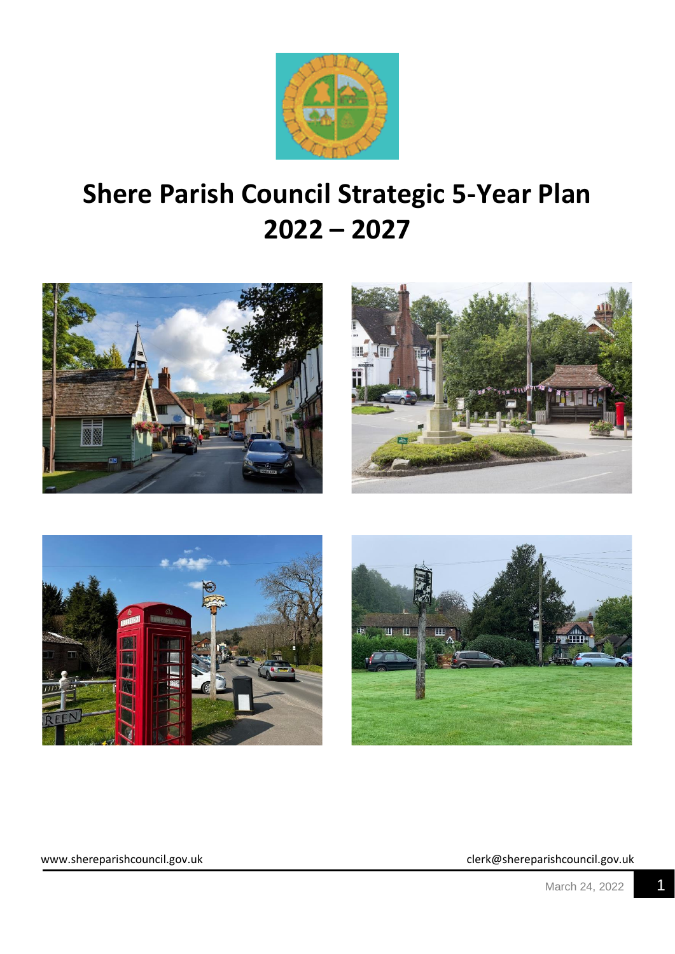

# **Shere Parish Council Strategic 5-Year Plan 2022 – 2027**







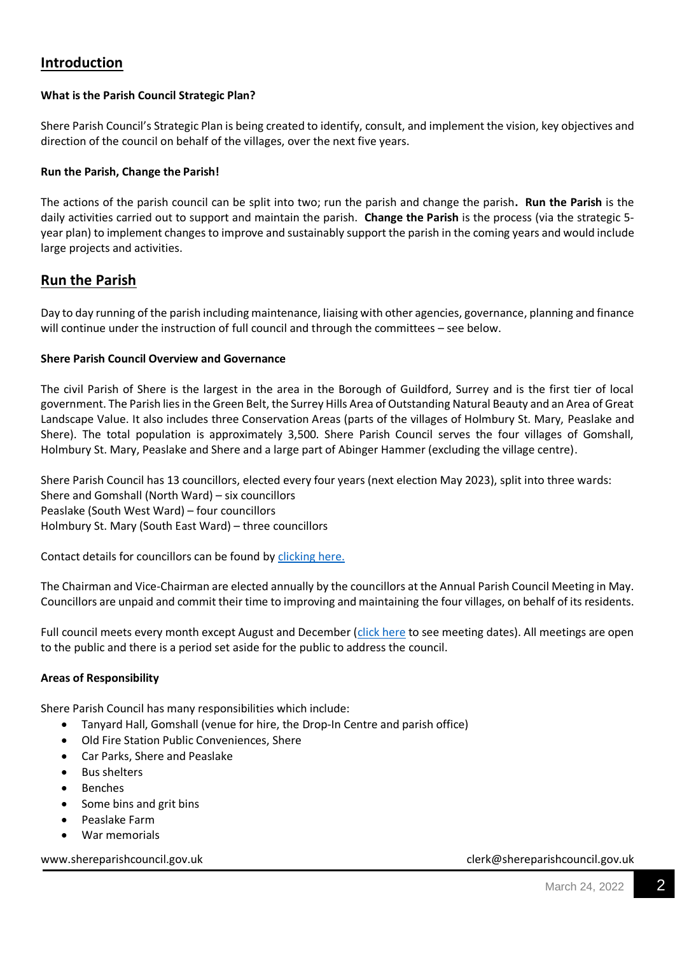# **Introduction**

### **What is the Parish Council Strategic Plan?**

Shere Parish Council's Strategic Plan is being created to identify, consult, and implement the vision, key objectives and direction of the council on behalf of the villages, over the next five years.

#### **Run the Parish, Change the Parish!**

The actions of the parish council can be split into two; run the parish and change the parish**. Run the Parish** is the daily activities carried out to support and maintain the parish. **Change the Parish** is the process (via the strategic 5 year plan) to implement changes to improve and sustainably support the parish in the coming years and would include large projects and activities.

## **Run the Parish**

Day to day running of the parish including maintenance, liaising with other agencies, governance, planning and finance will continue under the instruction of full council and through the committees – see below.

#### **Shere Parish Council Overview and Governance**

The civil Parish of Shere is the largest in the area in the Borough of Guildford, Surrey and is the first tier of local government. The Parish lies in the Green Belt, the Surrey Hills Area of Outstanding Natural Beauty and an Area of Great Landscape Value. It also includes three Conservation Areas (parts of the villages of Holmbury St. Mary, Peaslake and Shere). The total population is approximately 3,500. Shere Parish Council serves the four villages of Gomshall, Holmbury St. Mary, Peaslake and Shere and a large part of Abinger Hammer (excluding the village centre).

Shere Parish Council has 13 councillors, elected every four years (next election May 2023), split into three wards: Shere and Gomshall (North Ward) – six councillors Peaslake (South West Ward) – four councillors Holmbury St. Mary (South East Ward) – three councillors

Contact details for councillors can be found by [clicking here.](https://www.shereparishcouncil.gov.uk/list-of-officers/)

The Chairman and Vice-Chairman are elected annually by the councillors at the Annual Parish Council Meeting in May. Councillors are unpaid and commit their time to improving and maintaining the four villages, on behalf of its residents.

Full council meets every month except August and December [\(click here](https://www.shereparishcouncil.gov.uk/meeting-date-diary/) to see meeting dates). All meetings are open to the public and there is a period set aside for the public to address the council.

#### **Areas of Responsibility**

Shere Parish Council has many responsibilities which include:

- Tanyard Hall, Gomshall (venue for hire, the Drop-In Centre and parish office)
- Old Fire Station Public Conveniences, Shere
- Car Parks, Shere and Peaslake
- Bus shelters
- **Benches**
- Some bins and grit bins
- Peaslake Farm
- War memorials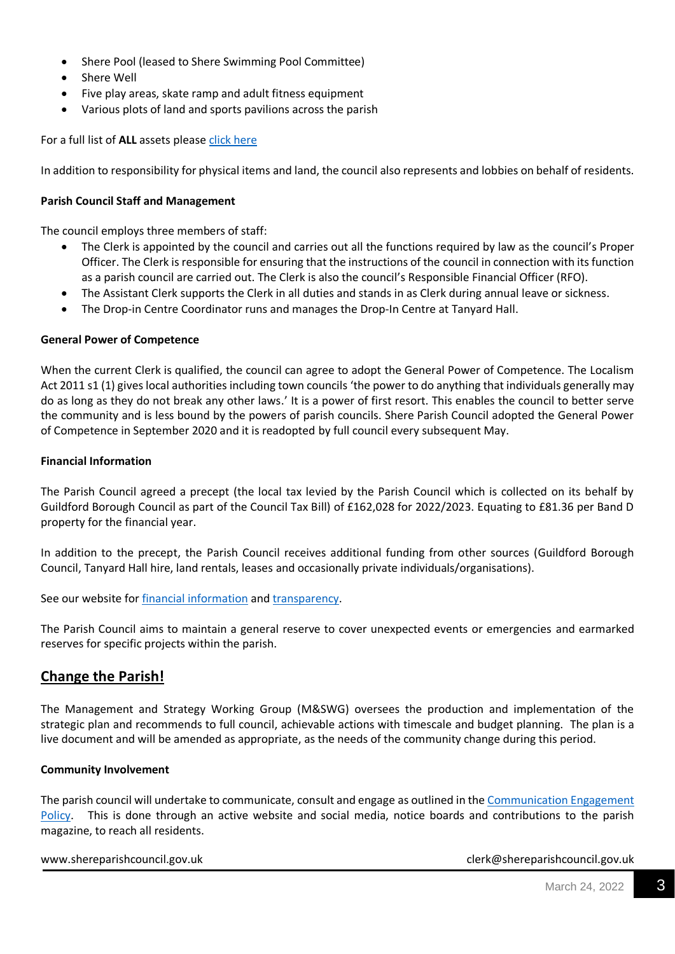- Shere Pool (leased to Shere Swimming Pool Committee)
- Shere Well
- Five play areas, skate ramp and adult fitness equipment
- Various plots of land and sports pavilions across the parish

For a full list of **ALL** assets please [click here](https://www.shereparishcouncil.gov.uk/wp-content/uploads/2022/03/Asset-Register-March-2022.pdf)

In addition to responsibility for physical items and land, the council also represents and lobbies on behalf of residents.

#### **Parish Council Staff and Management**

The council employs three members of staff:

- The Clerk is appointed by the council and carries out all the functions required by law as the council's Proper Officer. The Clerk is responsible for ensuring that the instructions of the council in connection with its function as a parish council are carried out. The Clerk is also the council's Responsible Financial Officer (RFO).
- The Assistant Clerk supports the Clerk in all duties and stands in as Clerk during annual leave or sickness.
- The Drop-in Centre Coordinator runs and manages the Drop-In Centre at Tanyard Hall.

#### **General Power of Competence**

When the current Clerk is qualified, the council can agree to adopt the General Power of Competence. The Localism Act 2011 s1 (1) gives local authorities including town councils 'the power to do anything that individuals generally may do as long as they do not break any other laws.' It is a power of first resort. This enables the council to better serve the community and is less bound by the powers of parish councils. Shere Parish Council adopted the General Power of Competence in September 2020 and it is readopted by full council every subsequent May.

#### **Financial Information**

The Parish Council agreed a precept (the local tax levied by the Parish Council which is collected on its behalf by Guildford Borough Council as part of the Council Tax Bill) of £162,028 for 2022/2023. Equating to £81.36 per Band D property for the financial year.

In addition to the precept, the Parish Council receives additional funding from other sources (Guildford Borough Council, Tanyard Hall hire, land rentals, leases and occasionally private individuals/organisations).

See our website for [financial information](https://www.shereparishcouncil.gov.uk/finance/) an[d transparency.](https://www.shereparishcouncil.gov.uk/transparency-2/)

The Parish Council aims to maintain a general reserve to cover unexpected events or emergencies and earmarked reserves for specific projects within the parish.

### **Change the Parish!**

The Management and Strategy Working Group (M&SWG) oversees the production and implementation of the strategic plan and recommends to full council, achievable actions with timescale and budget planning. The plan is a live document and will be amended as appropriate, as the needs of the community change during this period.

#### **Community Involvement**

The parish council will undertake to communicate, consult and engage as outlined in the [Communication Engagement](https://www.shereparishcouncil.gov.uk/wp-content/uploads/2021/03/Community-Engagement-Policy.pdf)  [Policy.](https://www.shereparishcouncil.gov.uk/wp-content/uploads/2021/03/Community-Engagement-Policy.pdf) This is done through an active website and social media, notice boards and contributions to the parish magazine, to reach all residents.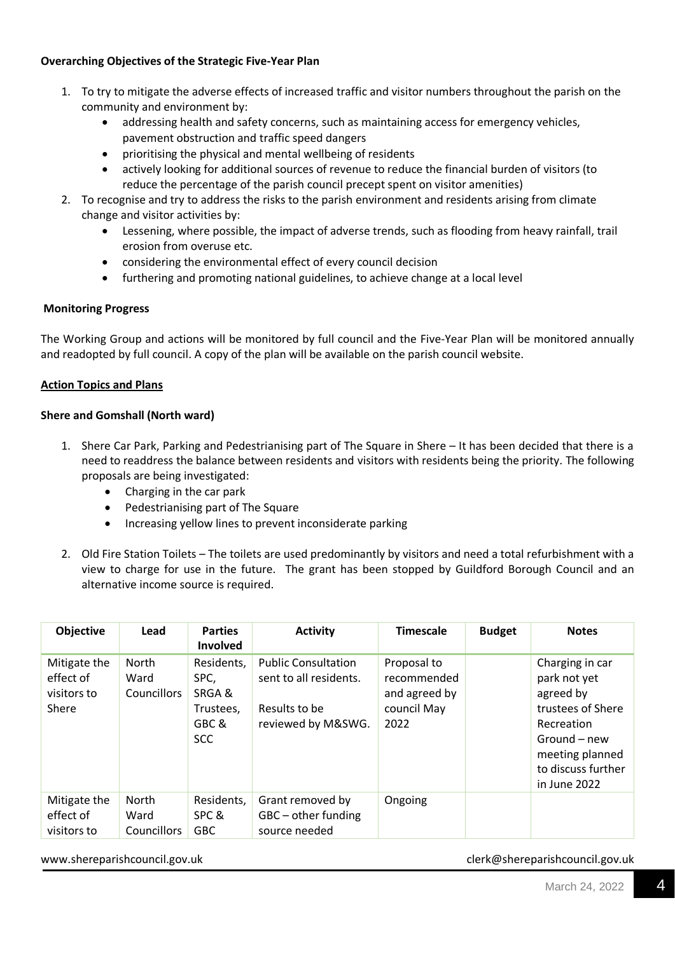#### **Overarching Objectives of the Strategic Five-Year Plan**

- 1. To try to mitigate the adverse effects of increased traffic and visitor numbers throughout the parish on the community and environment by:
	- addressing health and safety concerns, such as maintaining access for emergency vehicles, pavement obstruction and traffic speed dangers
	- prioritising the physical and mental wellbeing of residents
	- actively looking for additional sources of revenue to reduce the financial burden of visitors (to reduce the percentage of the parish council precept spent on visitor amenities)
- 2. To recognise and try to address the risks to the parish environment and residents arising from climate change and visitor activities by:
	- Lessening, where possible, the impact of adverse trends, such as flooding from heavy rainfall, trail erosion from overuse etc.
	- considering the environmental effect of every council decision
	- furthering and promoting national guidelines, to achieve change at a local level

#### **Monitoring Progress**

The Working Group and actions will be monitored by full council and the Five-Year Plan will be monitored annually and readopted by full council. A copy of the plan will be available on the parish council website.

#### **Action Topics and Plans**

#### **Shere and Gomshall (North ward)**

- 1. Shere Car Park, Parking and Pedestrianising part of The Square in Shere It has been decided that there is a need to readdress the balance between residents and visitors with residents being the priority. The following proposals are being investigated:
	- Charging in the car park
	- Pedestrianising part of The Square
	- Increasing yellow lines to prevent inconsiderate parking
- 2. Old Fire Station Toilets The toilets are used predominantly by visitors and need a total refurbishment with a view to charge for use in the future. The grant has been stopped by Guildford Borough Council and an alternative income source is required.

| Objective                                         | Lead                                       | <b>Parties</b><br><b>Involved</b>                               | <b>Activity</b>                                                                             | <b>Timescale</b>                                                   | <b>Budget</b> | <b>Notes</b>                                                                                                                                             |
|---------------------------------------------------|--------------------------------------------|-----------------------------------------------------------------|---------------------------------------------------------------------------------------------|--------------------------------------------------------------------|---------------|----------------------------------------------------------------------------------------------------------------------------------------------------------|
| Mitigate the<br>effect of<br>visitors to<br>Shere | North<br>Ward<br><b>Councillors</b>        | Residents,<br>SPC,<br>SRGA&<br>Trustees,<br>GBC &<br><b>SCC</b> | <b>Public Consultation</b><br>sent to all residents.<br>Results to be<br>reviewed by M&SWG. | Proposal to<br>recommended<br>and agreed by<br>council May<br>2022 |               | Charging in car<br>park not yet<br>agreed by<br>trustees of Shere<br>Recreation<br>Ground – new<br>meeting planned<br>to discuss further<br>in June 2022 |
| Mitigate the<br>effect of<br>visitors to          | <b>North</b><br>Ward<br><b>Councillors</b> | Residents,<br>SPC &<br><b>GBC</b>                               | Grant removed by<br>GBC - other funding<br>source needed                                    | Ongoing                                                            |               |                                                                                                                                                          |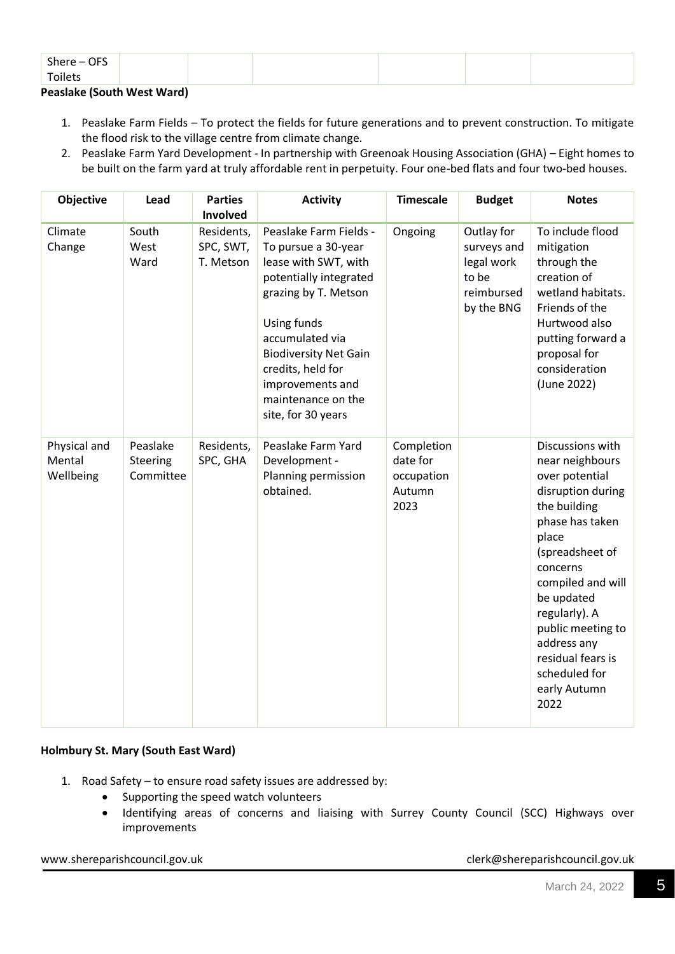| Toilets   |  |
|-----------|--|
|           |  |
| Shere-OFS |  |

#### **Peaslake (South West Ward)**

- 1. Peaslake Farm Fields To protect the fields for future generations and to prevent construction. To mitigate the flood risk to the village centre from climate change.
- 2. Peaslake Farm Yard Development In partnership with Greenoak Housing Association (GHA) Eight homes to be built on the farm yard at truly affordable rent in perpetuity. Four one-bed flats and four two-bed houses.

| <b>Objective</b>                    | Lead                              | <b>Parties</b><br>Involved           | <b>Activity</b>                                                                                                                                                                                                                                                                | <b>Timescale</b>                                       | <b>Budget</b>                                                                | <b>Notes</b>                                                                                                                                                                                                                                                                                                |
|-------------------------------------|-----------------------------------|--------------------------------------|--------------------------------------------------------------------------------------------------------------------------------------------------------------------------------------------------------------------------------------------------------------------------------|--------------------------------------------------------|------------------------------------------------------------------------------|-------------------------------------------------------------------------------------------------------------------------------------------------------------------------------------------------------------------------------------------------------------------------------------------------------------|
| Climate<br>Change                   | South<br>West<br>Ward             | Residents,<br>SPC, SWT,<br>T. Metson | Peaslake Farm Fields -<br>To pursue a 30-year<br>lease with SWT, with<br>potentially integrated<br>grazing by T. Metson<br>Using funds<br>accumulated via<br><b>Biodiversity Net Gain</b><br>credits, held for<br>improvements and<br>maintenance on the<br>site, for 30 years | Ongoing                                                | Outlay for<br>surveys and<br>legal work<br>to be<br>reimbursed<br>by the BNG | To include flood<br>mitigation<br>through the<br>creation of<br>wetland habitats.<br>Friends of the<br>Hurtwood also<br>putting forward a<br>proposal for<br>consideration<br>(June 2022)                                                                                                                   |
| Physical and<br>Mental<br>Wellbeing | Peaslake<br>Steering<br>Committee | Residents,<br>SPC, GHA               | Peaslake Farm Yard<br>Development -<br>Planning permission<br>obtained.                                                                                                                                                                                                        | Completion<br>date for<br>occupation<br>Autumn<br>2023 |                                                                              | Discussions with<br>near neighbours<br>over potential<br>disruption during<br>the building<br>phase has taken<br>place<br>(spreadsheet of<br>concerns<br>compiled and will<br>be updated<br>regularly). A<br>public meeting to<br>address any<br>residual fears is<br>scheduled for<br>early Autumn<br>2022 |

#### **Holmbury St. Mary (South East Ward)**

- 1. Road Safety to ensure road safety issues are addressed by:
	- Supporting the speed watch volunteers
	- Identifying areas of concerns and liaising with Surrey County Council (SCC) Highways over improvements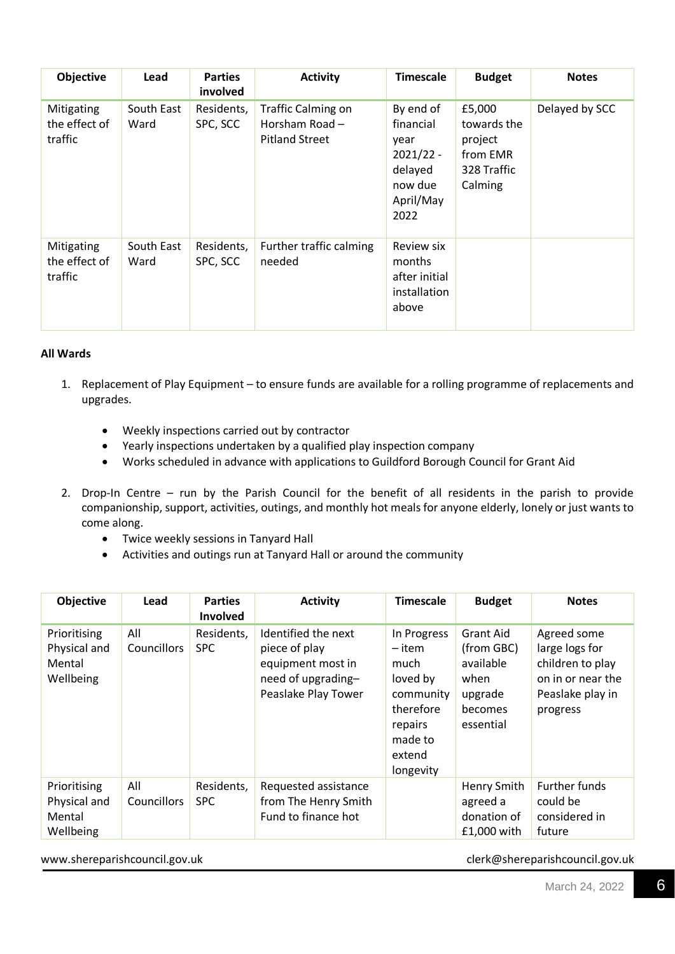| <b>Objective</b>                       | Lead               | <b>Parties</b><br>involved | <b>Activity</b>                                                        | <b>Timescale</b>                                                                         | <b>Budget</b>                                                          | <b>Notes</b>   |
|----------------------------------------|--------------------|----------------------------|------------------------------------------------------------------------|------------------------------------------------------------------------------------------|------------------------------------------------------------------------|----------------|
| Mitigating<br>the effect of<br>traffic | South East<br>Ward | Residents,<br>SPC, SCC     | <b>Traffic Calming on</b><br>Horsham Road $-$<br><b>Pitland Street</b> | By end of<br>financial<br>year<br>$2021/22 -$<br>delayed<br>now due<br>April/May<br>2022 | £5,000<br>towards the<br>project<br>from EMR<br>328 Traffic<br>Calming | Delayed by SCC |
| Mitigating<br>the effect of<br>traffic | South East<br>Ward | Residents,<br>SPC, SCC     | Further traffic calming<br>needed                                      | <b>Review six</b><br>months<br>after initial<br>installation<br>above                    |                                                                        |                |

#### **All Wards**

- 1. Replacement of Play Equipment to ensure funds are available for a rolling programme of replacements and upgrades.
	- Weekly inspections carried out by contractor
	- Yearly inspections undertaken by a qualified play inspection company
	- Works scheduled in advance with applications to Guildford Borough Council for Grant Aid
- 2. Drop-In Centre run by the Parish Council for the benefit of all residents in the parish to provide companionship, support, activities, outings, and monthly hot meals for anyone elderly, lonely or just wants to come along.
	- Twice weekly sessions in Tanyard Hall
	- Activities and outings run at Tanyard Hall or around the community

| <b>Objective</b>                                    | Lead               | <b>Parties</b><br>Involved | <b>Activity</b>                                                                                        | <b>Timescale</b>                                                                                                 | <b>Budget</b>                                                                          | <b>Notes</b>                                                                                           |
|-----------------------------------------------------|--------------------|----------------------------|--------------------------------------------------------------------------------------------------------|------------------------------------------------------------------------------------------------------------------|----------------------------------------------------------------------------------------|--------------------------------------------------------------------------------------------------------|
| Prioritising<br>Physical and<br>Mental<br>Wellbeing | All<br>Councillors | Residents,<br><b>SPC</b>   | Identified the next<br>piece of play<br>equipment most in<br>need of upgrading-<br>Peaslake Play Tower | In Progress<br>– item<br>much<br>loved by<br>community<br>therefore<br>repairs<br>made to<br>extend<br>longevity | <b>Grant Aid</b><br>(from GBC)<br>available<br>when<br>upgrade<br>becomes<br>essential | Agreed some<br>large logs for<br>children to play<br>on in or near the<br>Peaslake play in<br>progress |
| Prioritising<br>Physical and<br>Mental<br>Wellbeing | All<br>Councillors | Residents,<br><b>SPC</b>   | Requested assistance<br>from The Henry Smith<br>Fund to finance hot                                    |                                                                                                                  | Henry Smith<br>agreed a<br>donation of<br>£1,000 with                                  | <b>Further funds</b><br>could be<br>considered in<br>future                                            |